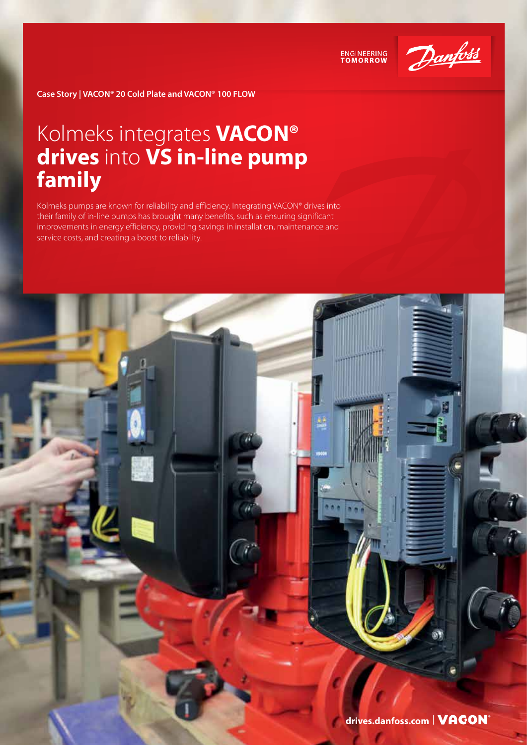

**ENGINEERING**<br>TOMORROW

**Case Story | VACON® 20 Cold Plate and VACON® 100 FLOW**

## Kolmeks integrates **VACON® drives** into **VS in-line pump family**

Kolmeks pumps are known for reliability and efficiency. Integrating VACON® drives into their family of in-line pumps has brought many benefits, such as ensuring significant improvements in energy efficiency, providing savings in installation, maintenance and service costs, and creating a boost to reliability.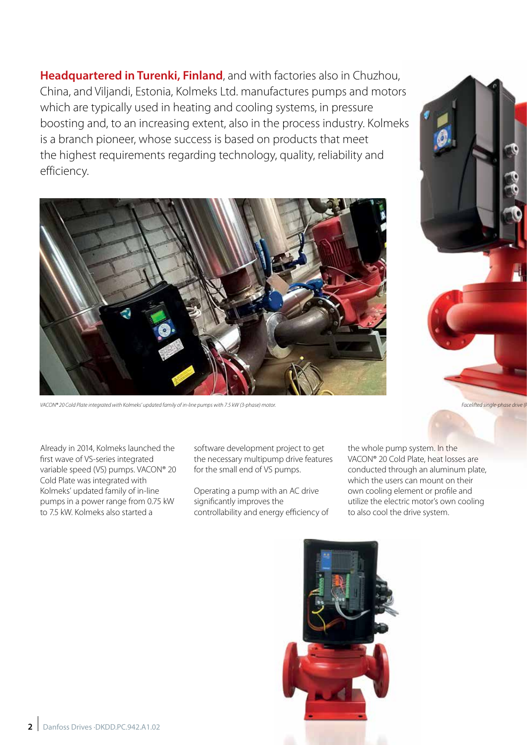**Headquartered in Turenki, Finland**, and with factories also in Chuzhou, China, and Viljandi, Estonia, Kolmeks Ltd. manufactures pumps and motors which are typically used in heating and cooling systems, in pressure boosting and, to an increasing extent, also in the process industry. Kolmeks is a branch pioneer, whose success is based on products that meet the highest requirements regarding technology, quality, reliability and efficiency.



VACON® 20 Cold Plate integrated with Kolmeks' updated family of in-line pumps with 7.5 kW (3-phase) motor. **Facelifted single-phase drive (Photo courtesy of Facelifted single-phase drive (Photo courtesy of Kolmeks). Provid** 

Already in 2014, Kolmeks launched the first wave of VS-series integrated variable speed (VS) pumps. VACON® 20 Cold Plate was integrated with Kolmeks' updated family of in-line pumps in a power range from 0.75 kW to 7.5 kW. Kolmeks also started a

software development project to get the necessary multipump drive features for the small end of VS pumps.

Operating a pump with an AC drive significantly improves the controllability and energy efficiency of

the whole pump system. In the VACON® 20 Cold Plate, heat losses are conducted through an aluminum plate, which the users can mount on their own cooling element or profile and utilize the electric motor's own cooling to also cool the drive system.

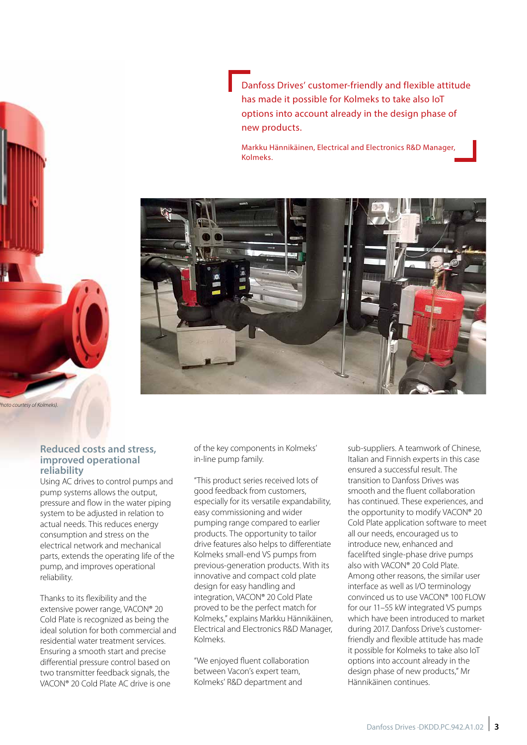Danfoss Drives' customer-friendly and flexible attitude has made it possible for Kolmeks to take also IoT options into account already in the design phase of new products.

Markku Hännikäinen, Electrical and Electronics R&D Manager, Kolmeks.



**Reduced costs and stress, improved operational reliability**

*Facelifted single-phase drive (Photo courtesy of Kolmeks).*

Using AC drives to control pumps and pump systems allows the output, pressure and flow in the water piping system to be adjusted in relation to actual needs. This reduces energy consumption and stress on the electrical network and mechanical parts, extends the operating life of the pump, and improves operational reliability.

Thanks to its flexibility and the extensive power range, VACON® 20 Cold Plate is recognized as being the ideal solution for both commercial and residential water treatment services. Ensuring a smooth start and precise differential pressure control based on two transmitter feedback signals, the VACON® 20 Cold Plate AC drive is one

of the key components in Kolmeks' in-line pump family.

"This product series received lots of good feedback from customers, especially for its versatile expandability, easy commissioning and wider pumping range compared to earlier products. The opportunity to tailor drive features also helps to differentiate Kolmeks small-end VS pumps from previous-generation products. With its innovative and compact cold plate design for easy handling and integration, VACON® 20 Cold Plate proved to be the perfect match for Kolmeks," explains Markku Hännikäinen, Electrical and Electronics R&D Manager, Kolmeks.

"We enjoyed fluent collaboration between Vacon's expert team, Kolmeks' R&D department and

sub-suppliers. A teamwork of Chinese, Italian and Finnish experts in this case ensured a successful result. The transition to Danfoss Drives was smooth and the fluent collaboration has continued. These experiences, and the opportunity to modify VACON® 20 Cold Plate application software to meet all our needs, encouraged us to introduce new, enhanced and facelifted single-phase drive pumps also with VACON® 20 Cold Plate. Among other reasons, the similar user interface as well as I/O terminology convinced us to use VACON® 100 FLOW for our 11–55 kW integrated VS pumps which have been introduced to market during 2017. Danfoss Drive's customerfriendly and flexible attitude has made it possible for Kolmeks to take also IoT options into account already in the design phase of new products," Mr Hännikäinen continues.